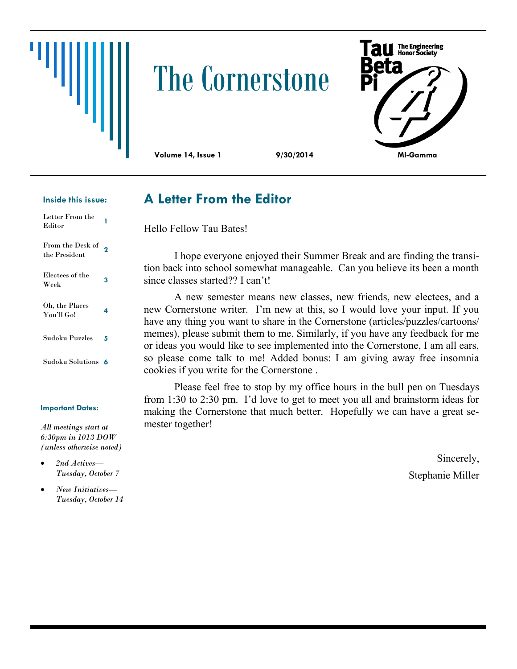# The Cornerstone



#### **Inside this issue:**

| Letter From the<br>Editor         |   |
|-----------------------------------|---|
| From the Desk of<br>the President | 2 |
| Electees of the<br>Week           | 3 |
| Oh, the Places<br>You'll Go!      | 4 |
| Sudoku Puzzles                    | 5 |
| Sudoku Solutions                  | 6 |

#### **Important Dates:**

*All meetings start at 6:30pm in 1013 DOW (unless otherwise noted)*

- *2nd Actives— Tuesday, October 7*
- *New Initiatives— Tuesday, October 14*

#### **A Letter From the Editor**

Hello Fellow Tau Bates!

I hope everyone enjoyed their Summer Break and are finding the transition back into school somewhat manageable. Can you believe its been a month since classes started?? I can't!

A new semester means new classes, new friends, new electees, and a new Cornerstone writer. I'm new at this, so I would love your input. If you have any thing you want to share in the Cornerstone (articles/puzzles/cartoons/ memes), please submit them to me. Similarly, if you have any feedback for me or ideas you would like to see implemented into the Cornerstone, I am all ears, so please come talk to me! Added bonus: I am giving away free insomnia cookies if you write for the Cornerstone .

Please feel free to stop by my office hours in the bull pen on Tuesdays from 1:30 to 2:30 pm. I'd love to get to meet you all and brainstorm ideas for making the Cornerstone that much better. Hopefully we can have a great semester together!

> Sincerely, Stephanie Miller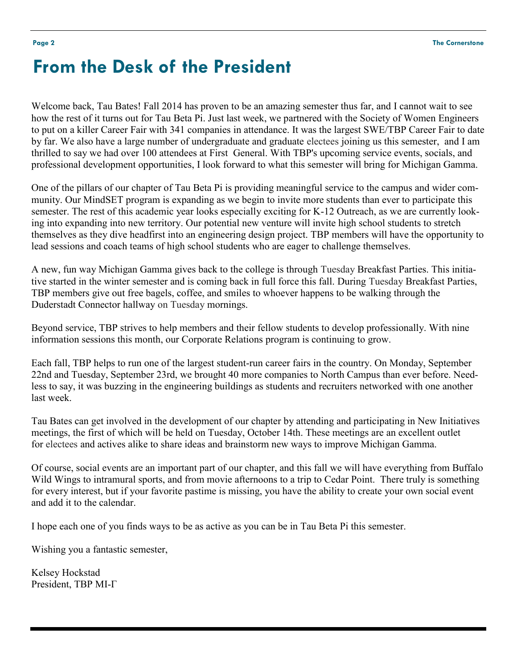## **From the Desk of the President**

Welcome back, Tau Bates! Fall 2014 has proven to be an amazing semester thus far, and I cannot wait to see how the rest of it turns out for Tau Beta Pi. Just last week, we partnered with the Society of Women Engineers to put on a killer Career Fair with 341 companies in attendance. It was the largest SWE/TBP Career Fair to date by far. We also have a large number of undergraduate and graduate electees joining us this semester, and I am thrilled to say we had over 100 attendees at First General. With TBP's upcoming service events, socials, and professional development opportunities, I look forward to what this semester will bring for Michigan Gamma.

One of the pillars of our chapter of Tau Beta Pi is providing meaningful service to the campus and wider community. Our MindSET program is expanding as we begin to invite more students than ever to participate this semester. The rest of this academic year looks especially exciting for K-12 Outreach, as we are currently looking into expanding into new territory. Our potential new venture will invite high school students to stretch themselves as they dive headfirst into an engineering design project. TBP members will have the opportunity to lead sessions and coach teams of high school students who are eager to challenge themselves.

A new, fun way Michigan Gamma gives back to the college is through Tuesday Breakfast Parties. This initiative started in the winter semester and is coming back in full force this fall. During Tuesday Breakfast Parties, TBP members give out free bagels, coffee, and smiles to whoever happens to be walking through the Duderstadt Connector hallway on Tuesday mornings.

Beyond service, TBP strives to help members and their fellow students to develop professionally. With nine information sessions this month, our Corporate Relations program is continuing to grow.

Each fall, TBP helps to run one of the largest student-run career fairs in the country. On Monday, September 22nd and Tuesday, September 23rd, we brought 40 more companies to North Campus than ever before. Needless to say, it was buzzing in the engineering buildings as students and recruiters networked with one another last week.

Tau Bates can get involved in the development of our chapter by attending and participating in New Initiatives meetings, the first of which will be held on Tuesday, October 14th. These meetings are an excellent outlet for electees and actives alike to share ideas and brainstorm new ways to improve Michigan Gamma.

Of course, social events are an important part of our chapter, and this fall we will have everything from Buffalo Wild Wings to intramural sports, and from movie afternoons to a trip to Cedar Point. There truly is something for every interest, but if your favorite pastime is missing, you have the ability to create your own social event and add it to the calendar.

I hope each one of you finds ways to be as active as you can be in Tau Beta Pi this semester.

Wishing you a fantastic semester,

Kelsey Hockstad President, TBP MI-Γ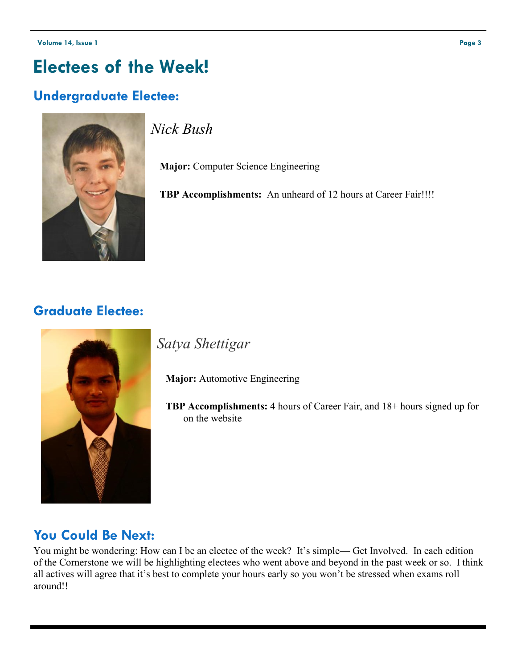### **Electees of the Week!**

#### **Undergraduate Electee:**



*Nick Bush*

 **Major:** Computer Science Engineering

 **TBP Accomplishments:** An unheard of 12 hours at Career Fair!!!!

#### **Graduate Electee:**



*Satya Shettigar*

 **Major:** Automotive Engineering

 **TBP Accomplishments:** 4 hours of Career Fair, and 18+ hours signed up for on the website

#### **You Could Be Next:**

You might be wondering: How can I be an electee of the week? It's simple— Get Involved. In each edition of the Cornerstone we will be highlighting electees who went above and beyond in the past week or so. I think all actives will agree that it's best to complete your hours early so you won't be stressed when exams roll around!!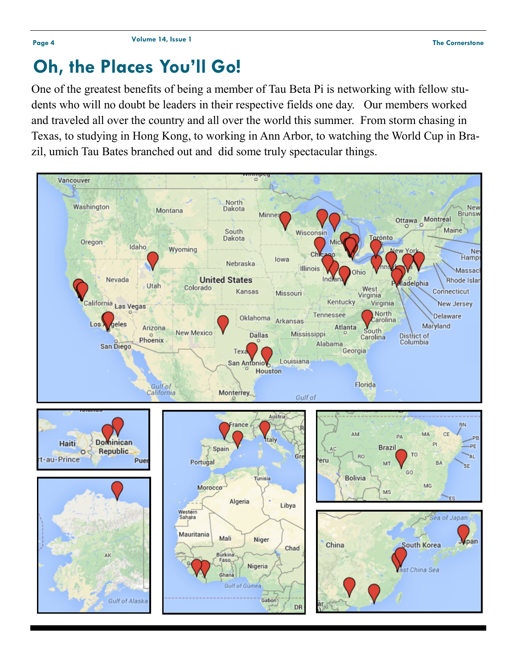### **Oh, the Places You'll Go!**

One of the greatest benefits of being a member of Tau Beta Pi is networking with fellow students who will no doubt be leaders in their respective fields one day. Our members worked and traveled all over the country and all over the world this summer. From storm chasing in Texas, to studying in Hong Kong, to working in Ann Arbor, to watching the World Cup in Brazil, umich Tau Bates branched out and did some truly spectacular things.

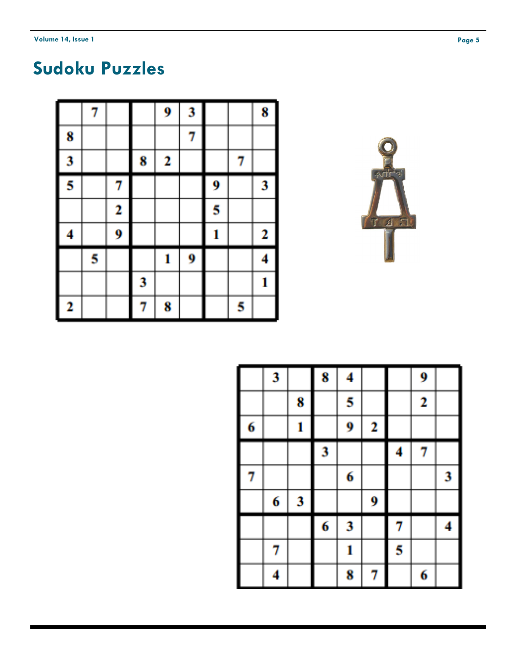## **Sudoku Puzzles**

|        | 7 |   |   | 9 | 3 |   |   | 8 |
|--------|---|---|---|---|---|---|---|---|
| 8      |   |   |   |   | 7 |   |   |   |
| 3      |   |   | 8 | 2 |   |   | 7 |   |
| I<br>5 |   | 7 |   |   |   | 9 |   | 3 |
|        |   | 2 |   |   |   | 5 |   |   |
| I<br>4 |   | 9 |   |   |   | 1 |   | 2 |
|        | 5 |   |   | 1 | 9 |   |   | 4 |
|        |   |   | 3 |   |   |   |   | 1 |
| 2      |   |   | 7 | 8 |   |   | 5 |   |



|   | 3 |   | 8 | 4 |   |   | 9 |   |
|---|---|---|---|---|---|---|---|---|
|   |   | 8 |   | 5 |   |   | 2 |   |
| 6 |   | 1 |   | 9 | 2 |   |   |   |
|   |   |   | 3 |   |   | 4 | 7 |   |
| 7 |   |   |   | 6 |   |   |   | 3 |
|   | 6 | 3 |   |   | 9 |   |   |   |
|   |   |   | 6 | 3 |   | 7 |   | 4 |
|   | 7 |   |   | 1 |   | 5 |   |   |
|   | 4 |   |   | 8 | 7 |   | 6 |   |